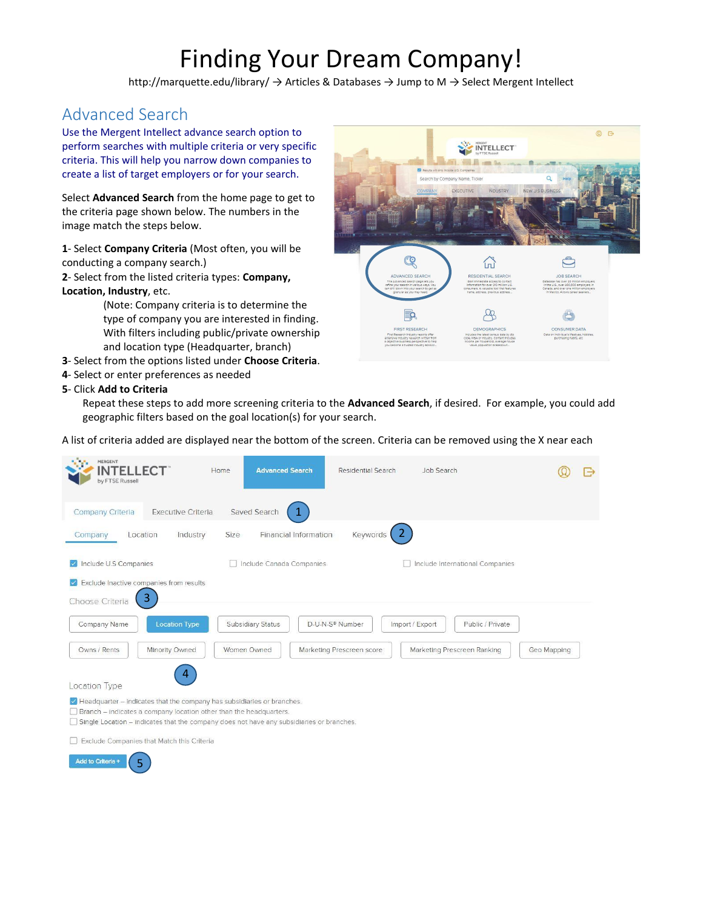# Finding Your Dream Company!

http://marquette.edu/library/ → Articles & Databases → Jump to M → Select Mergent Intellect

# Advanced Search

Use the Mergent Intellect advance search option to perform searches with multiple criteria or very specific criteria. This will help you narrow down companies to create a list of target employers or for your search.

Select **Advanced Search** from the home page to get to the criteria page shown below. The numbers in the image match the steps below.

**1**- Select **Company Criteria** (Most often, you will be conducting a company search.)

**2**- Select from the listed criteria types: **Company, Location, Industry**, etc.

> (Note: Company criteria is to determine the type of company you are interested in finding. With filters including public/private ownership and location type (Headquarter, branch)

- **3** Select from the options listed under **Choose Criteria**.
- **4** Select or enter preferences as needed

## **5**- Click **Add to Criteria**



Repeat these steps to add more screening criteria to the **Advanced Search**, if desired. For example, you could add geographic filters based on the goal location(s) for your search.

A list of criteria added are displayed near the bottom of the screen. Criteria can be removed using the X near each

| MERGENT<br><b>INTELLECT</b><br>by FTSE Russell |                                               | <b>Advanced Search</b><br>Home                                                                                                                                                                                                                                | <b>Residential Search</b>         | Job Search      |                                   |             | e |
|------------------------------------------------|-----------------------------------------------|---------------------------------------------------------------------------------------------------------------------------------------------------------------------------------------------------------------------------------------------------------------|-----------------------------------|-----------------|-----------------------------------|-------------|---|
| Company Criteria                               | <b>Executive Criteria</b>                     | Saved Search                                                                                                                                                                                                                                                  |                                   |                 |                                   |             |   |
| Location<br>Company                            | Industry                                      | Size                                                                                                                                                                                                                                                          | Financial Information<br>Keywords |                 |                                   |             |   |
| Include U.S Companies                          |                                               | Include Canada Companies                                                                                                                                                                                                                                      |                                   |                 | □ Include International Companies |             |   |
|                                                | Exclude Inactive companies from results<br>3. |                                                                                                                                                                                                                                                               |                                   |                 |                                   |             |   |
| Choose Criteria                                |                                               |                                                                                                                                                                                                                                                               |                                   |                 |                                   |             |   |
| Company Name                                   | <b>Location Type</b>                          | Subsidiary Status                                                                                                                                                                                                                                             | D-U-N-S® Number                   | Import / Export | Public / Private                  |             |   |
| Owns / Rents                                   | Minority Owned                                | Women Owned                                                                                                                                                                                                                                                   | Marketing Prescreen score         |                 | Marketing Prescreen Ranking       | Geo Mapping |   |
| Location Type                                  | 4                                             |                                                                                                                                                                                                                                                               |                                   |                 |                                   |             |   |
|                                                |                                               | $\blacktriangleright$ Headquarter – indicates that the company has subsidiaries or branches.<br>Branch - indicates a company location other than the headquarters.<br>Single Location – indicates that the company does not have any subsidiaries or branches |                                   |                 |                                   |             |   |

□ Exclude Companies that Match this Criteria